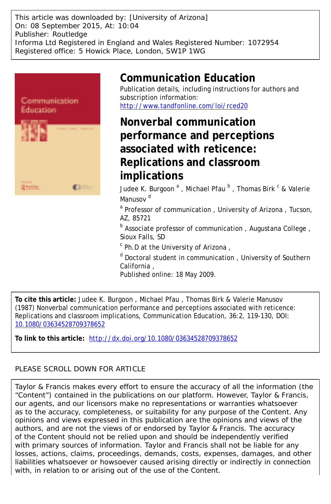This article was downloaded by: [University of Arizona] On: 08 September 2015, At: 10:04 Publisher: Routledge Informa Ltd Registered in England and Wales Registered Number: 1072954 Registered office: 5 Howick Place, London, SW1P 1WG



# **Communication Education**

Publication details, including instructions for authors and subscription information: <http://www.tandfonline.com/loi/rced20>

**Nonverbal communication performance and perceptions associated with reticence: Replications and classroom implications**

Judee K. Burgoon <sup>a</sup> , Michael Pfau <sup>b</sup> , Thomas Birk <sup>c</sup> & Valerie Manusov<sup>d</sup>

<sup>a</sup> Professor of communication, University of Arizona, Tucson, AZ, 85721

<sup>b</sup> Associate professor of communication, Augustana College, Sioux Falls, SD

<sup>c</sup> Ph.D at the University of Arizona,

<sup>d</sup> Doctoral student in communication, University of Southern California ,

Published online: 18 May 2009.

**To cite this article:** Judee K. Burgoon , Michael Pfau , Thomas Birk & Valerie Manusov (1987) Nonverbal communication performance and perceptions associated with reticence: Replications and classroom implications, Communication Education, 36:2, 119-130, DOI: [10.1080/03634528709378652](http://www.tandfonline.com/action/showCitFormats?doi=10.1080/03634528709378652)

**To link to this article:** <http://dx.doi.org/10.1080/03634528709378652>

# PLEASE SCROLL DOWN FOR ARTICLE

Taylor & Francis makes every effort to ensure the accuracy of all the information (the "Content") contained in the publications on our platform. However, Taylor & Francis, our agents, and our licensors make no representations or warranties whatsoever as to the accuracy, completeness, or suitability for any purpose of the Content. Any opinions and views expressed in this publication are the opinions and views of the authors, and are not the views of or endorsed by Taylor & Francis. The accuracy of the Content should not be relied upon and should be independently verified with primary sources of information. Taylor and Francis shall not be liable for any losses, actions, claims, proceedings, demands, costs, expenses, damages, and other liabilities whatsoever or howsoever caused arising directly or indirectly in connection with, in relation to or arising out of the use of the Content.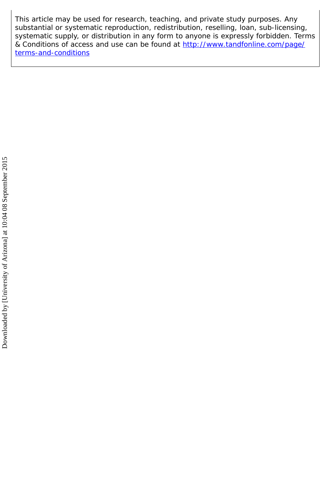This article may be used for research, teaching, and private study purposes. Any substantial or systematic reproduction, redistribution, reselling, loan, sub-licensing, systematic supply, or distribution in any form to anyone is expressly forbidden. Terms & Conditions of access and use can be found at [http://www.tandfonline.com/page/](http://www.tandfonline.com/page/terms-and-conditions) [terms-and-conditions](http://www.tandfonline.com/page/terms-and-conditions)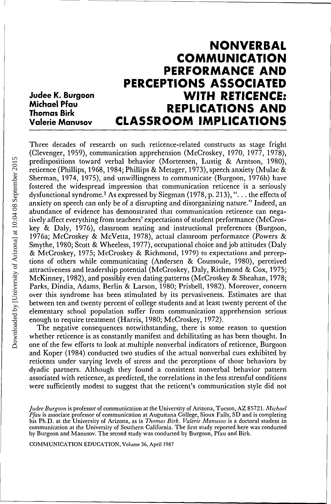# **NONVERBAL COMMUNICATION PERFORMANCE AND PERCEPTIONS ASSOCIATED WITH RETICENCE: REPLICATIONS AND CLASSROOM IMPLICATIONS Judee K. Burgoon Michael Pfau Thomas Birk Valerie Manusov**

Three decades of research on such reticence-related constructs as stage fright (Clevenger, 1959), communication apprehension (McCroskey, 1970, 1977, 1978), predispositions toward verbal behavior (Mortensen, Lustig & Arntson, 1980), reticence (Phillips, 1968,1984; Phillips & Metzger, 1973), speech anxiety (Mulac & Sherman, 1974, 1975), and unwillingness to communicate (Burgoon, 1976b) have fostered the widespread impression that communication reticence is a seriously dysfunctional syndrome.<sup>1</sup> As expressed by Siegman (1978, p. 213), "... the effects of anxiety on speech can only be of a disrupting and disorganizing nature." Indeed, an abundance of evidence has demonstrated that communication reticence can negatively affect everything from teachers' expectations of student performance (McCroskey & Daly, 1976), classroom seating and instructional preferences (Burgoon, 1976a; McCroskey & McVetta, 1978), actual classroom performance (Powers & Smythe, 1980; Scott & Wheeless, 1977), occupational choice and job attitudes (Daly & McCroskey, 1975; McCroskey & Richmond, 1979) to expectations and perceptions of others while communicating (Andersen & Coussoule, 1980), perceived attractiveness and leadership potential (McCroskey, Daly, Richmond & Cox, 1975; McKinney, 1982), and possibly even dating patterns (McCroskey & Sheahan, 1978; Parks, Dindia, Adams, Berlin & Larson, 1980; Prisbell, 1982). Moreover, concern over this syndrome has been stimulated by its pervasiveness. Estimates are that between ten and twenty percent of college students and at least twenty percent of the elementary school population suffer from communication apprehension serious enough to require treatment (Harris, 1980; McCroskey, 1972).

The negative consequences notwithstanding, there is some reason to question whether reticence is as constantly manifest and debilitating as has been thought. In one of the few efforts to look at multiple nonverbal indicators of reticence, Burgoon and Koper (1984) conducted two studies of the actual nonverbal cues exhibited by reticents under varying levels of stress and the perceptions of those behaviors by dyadic partners. Although they found a consistent nonverbal behavior pattern associated with reticence, as predicted, the correlations in the less stressful conditions were sufficiently modest to suggest that the reticent's communication style did not

COMMUNICATION EDUCATION, Volume 36, April 1987

*Judee Burgoon* is professor of communication at the University of Arizona, Tucson, AZ 85721. *Michael Pfau* is associate professor of communication at Augustana College, Sioux Falls, SD and is completing his Ph.D. at the University of Arizona, as is *Thomas Birk. Valerie Manusov* is a doctoral student in communication at the University of Southern California. The first study reported here was conducted by Burgoon and Manusov. The second study was conducted by Burgoon, Pfau and Birk.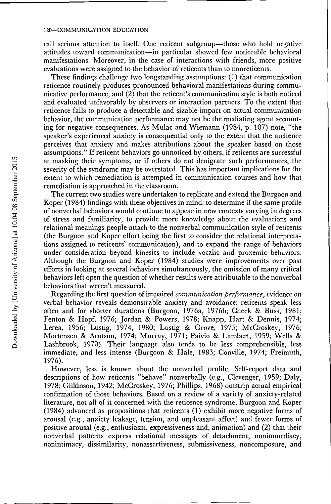call serious attention to itself. One reticent subgroup—those who hold negative attitudes toward communication—in particular showed few noticeable behavioral manifestations. Moreover, in the case of interactions with friends, more positive evaluations were assigned to the behavior of reticents than to nonreticents.

These findings challenge two longstanding assumptions: (1) that communication reticence routinely produces pronounced behavioral manifestations during communicative performance, and (2) that the reticent's communication style is both noticed and evaluated unfavorably by observers or interaction partners. To the extent that reticence fails to produce a detectable and sizable impact on actual communication behavior, the communication performance may not be the mediating agent accounting for negative consequences. As Mulac and Wiemann (1984, p. 107) note, "the speaker's experienced anxiety is consequential only to the extent that the audience perceives that anxiety and makes attributions about the speaker based on those assumptions." If reticent behaviors go unnoticed by others, if reticents are successful at masking their symptoms, or if others do not denigrate such performances, the severity of the syndrome may be overstated. This has important implications for the extent to which remediation is attempted in communication courses and how that remediation is approached in the classroom.

The current two studies were undertaken to replicate and extend the Burgoon and Koper (1984) findings with these objectives in mind: to determine if the same profile of nonverbal behaviors would continue to appear in new contexts varying in degrees of stress and familiarity, to provide more knowledge about the evaluations and relational meanings people attach to the nonverbal communication style of reticents (the Burgoon and Koper effort being the first to consider the relational interpretations assigned to reticents' communication), and to expand the range of behaviors under consideration beyond kinesics to include vocalic and proxemic behaviors. Although the Burgoon and Koper (1984) studies were improvements over past efforts in looking at several behaviors simultaneously, the omission of many critical behaviors left open, the question of whether results were attributable to the nonverbal behaviors that weren't measured.

Regarding the first question of impaired *communication performance,* evidence on verbal behavior reveals demonstrable anxiety and avoidance: reticents speak less often and for shorter durations (Burgoon, 1976a, 1976b; Cheek & Buss, 1981; Fenton & Hopf, 1976; Jordan & Powers, 1978; Knapp, Hart & Dennis, 1974; Lerea, 1956; Lustig, 1974, 1980; Lustig & Grove, 1975; McCroskey, 1976; Mortensen & Arntson, 1974; Murray, 1971; Paivio & Lambert, 1959; Wells & Lashbrook, 1970). Their language also tends to be less comprehensible, less immediate, and less intense (Burgoon & Hale, 1983; Conville, 1974; Freimuth, 1976).

However, less is known about the nonverbal profile. Self-report data and descriptions of how reticents "behave" nonverbally (e.g., Clevenger, 1959; Daly, 1978; Gilkinson, 1942; McCroskey, 1976; Phillips, 1968) outstrip actual empirical confirmation of those behaviors. Based on a review of a variety of anxiety-related literature, not all of it concerned with the reticence syndrome, Burgoon and Koper (1984) advanced as propositions that reticents (1) exhibit more negative forms of arousal (e.g., anxiety leakage, tension, and unpleasant affect) and fewer forms of positive arousal (e.g., enthusiasm, expressiveness and, animation) and (2) that their nonverbal patterns express relational messages of detachment, nonimmediacy, nonintimacy, dissimilarity, nonassertiveness, submissiveness, noncomposure, and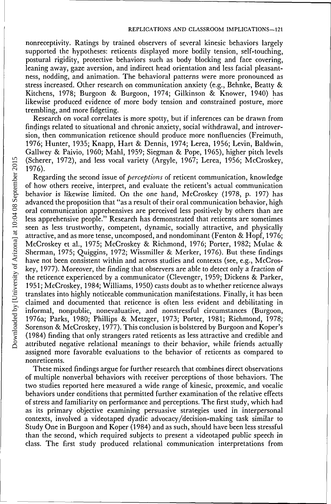nonreceptivity. Ratings by trained observers of several kinesic behaviors largely supported the hypotheses: reticents displayed more bodily tension, self-touching, postural rigidity, protective behaviors such as body blocking and face covering, leaning away, gaze aversion, and indirect head orientation and less facial pleasantness, nodding, and animation. The behavioral patterns were more pronounced as stress increased. Other research on communication anxiety (e.g., Behnke, Beatty & Kitchens, 1978; Burgoon & Burgoon, 1974; Gilkinson & Knower, 1940) has likewise produced evidence of more body tension and constrained posture, more trembling, and more fidgeting.

Research on vocal correlates is more spotty, but if inferences can be drawn from findings related to situational and chronic anxiety, social withdrawal, and introversion, then communication reticence should produce more nonfluencies (Freimuth, 1976; Hunter, 1935; Knapp, Hart & Dennis, 1974; Lerea, 1956; Levin, Baldwin, Gallwey & Paivio, 1960; Mahl, 1959; Siegman & Pope, 1965), higher pitch levels (Scherer, 1972), and less vocal variety (Argyle, 1967; Lerea, 1956; McCroskey, 1976).

Regarding the second issue of *perceptions* of reticent communication, knowledge of how others receive, interpret, and evaluate the reticent's actual communication behavior is likewise limited. On the one hand, McCroskey (1978, p. 197) has advanced the proposition that "as a result of their oral communication behavior, high oral communication apprehensives are perceived less positively by others than are less apprehensive people." Research has demonstrated that reticents are sometimes seen as less trustworthy, competent, dynamic, socially attractive, and physically attractive, and as more tense, uncomposed, and nondominant (Fenton & Hopf, 1976; McCroskey et al., 1975; McCroskey & Richmond, 1976; Porter, 1982; Mulac & Sherman, 1975; Quiggins, 1972; Wissmiller & Merker, 1976). But these findings have not been consistent within and across studies and contexts (see, e.g., McCroskey, 1977). Moreover, the finding that observers are able to detect only a fraction of the reticence experienced by a communicator (Clevenger, 1959; Dickens & Parker, 1951; McCroskey, 1984; Williams, 1950) casts doubt as to whether reticence always translates into highly noticeable communication manifestations. Finally, it has been claimed and documented that reticence is often less evident and debilitating in informal, nonpublic, nonevaluative, and nonstressful circumstances (Burgoon, 1976a; Parks, 1980; Phillips & Metzger, 1973; Porter, 1981; Richmond, 1978; Sorenson & McCroskey, 1977). This conclusion is bolstered by Burgoon and Koper's (1984) finding that only strangers rated reticents as less attractive and credible and attributed negative relational meanings to their behavior, while friends actually assigned more favorable evaluations to the behavior of reticents as compared to nonreticents.

These mixed findings argue for further research that combines direct observations of multiple nonverbal behaviors with receiver perceptions of those behaviors. The two studies reported here measured a wide range of kinesic, proxemic, and vocalic behaviors under conditions that permitted further examination of the relative effects of stress and familiarity on performance and perceptions. The first study, which had as its primary objective examining persuasive strategies used in interpersonal contexts, involved a videotaped dyadic advocacy/decision-making task similar to Study One in Burgoon and Koper (1984) and as such, should have been less stressful than the second, which required subjects to present a videotaped public speech in class. The first study produced relational communication interpretations from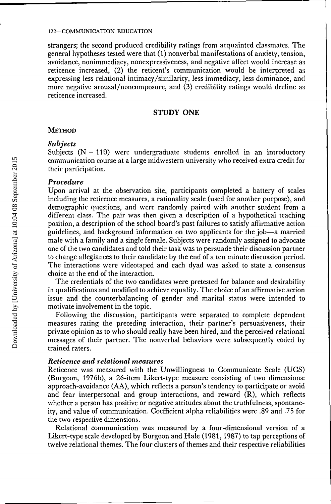strangers; the second produced credibility ratings from acquainted classmates. The general hypotheses tested were that (1) nonverbal manifestations of anxiety, tension, avoidance, nonimmediacy, nonexpressiveness, and negative affect would increase as reticence increased, (2) the reticent's communication would be interpreted as expressing less relational intimacy/similarity, less immediacy, less dominance, and more negative arousal/noncomposure, and (3) credibility ratings would decline as reticence increased.

# **STUDY ONE**

# **METHOD**

# *Subjects*

Subjects  $(N=110)$  were undergraduate students enrolled in an introductory communication course at a large midwestern university who received extra credit for their participation.

# *Procedure*

Upon arrival at the observation site, participants completed a battery of scales including the reticence measures, a rationality scale (used for another purpose), and demographic questions, and were randomly paired with another student from a different class. The pair was then given a description of a hypothetical teaching position, a description of the school board's past failures to satisfy affirmative action guidelines, and background information on two applicants for the job—a married male with a family and a single female. Subjects were randomly assigned to advocate one of the two candidates and told their task was to persuade their discussion partner to change allegiances to their candidate by the end of a ten minute discussion period. The interactions were videotaped and each dyad was asked to state a consensus choice at the end of the interaction.

The credentials of the two candidates were pretested for balance and desirability in qualifications and modified to achieve equality. The choice of an affirmative action issue and the counterbalancing of gender and marital status were intended to motivate involvement in the topic.

Following the discussion, participants were separated to complete dependent measures rating the preceding interaction, their partner's persuasiveness, their private opinion as to who should really have been hired, and the perceived relational messages of their partner. The nonverbal behaviors were subsequently coded by trained raters.

## *Reticence and relational measures*

Reticence was measured with the Unwillingness to Communicate Scale (UCS) (Burgoon, 1976b), a 26-item Likert-type measure consisting of two dimensions: approach-avoidance (AA), which reflects a person's tendency to participate or avoid and fear interpersonal and group interactions, and reward (R), which reflects whether a person has positive or negative attitudes about the truthfulness, spontaneity, and value of communication. Coefficient alpha reliabilities were .89 and .75 for the two respective dimensions.

Relational communication was measured by a four-dimensional version of a Likert-type scale developed by Burgoon and Hale (1981,1987) to tap perceptions of twelve relational themes. The four clusters of themes and their respective reliabilities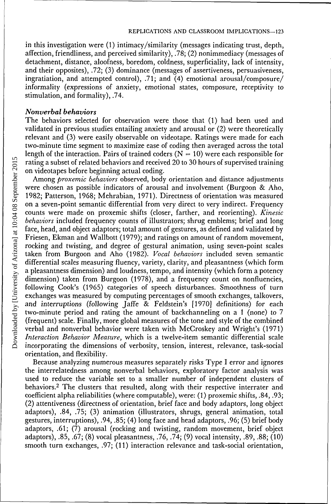in this investigation were (1) intimacy/similarity (messages indicating trust, depth, affection, friendliness, and perceived similarity), .78; (2) nonimmediacy (messages of detachment, distance, aloofness, boredom, coldness, superficiality, lack of intensity, and their opposites), .72; (3) dominance (messages of assertiveness, persuasiveness, ingratiation, and attempted control), .71; and (4) emotional arousal/composure/ informality (expressions of anxiety, emotional states, composure, receptivity to stimulation, and formality), .74.

# *Nonverbal behaviors*

The behaviors selected for observation were those that (1) had been used and validated in previous studies entailing anxiety and arousal or (2) were theoretically relevant and (3) were easily observable on videotape. Ratings were made for each two-minute time segment to maximize ease of coding then averaged across the total length of the interaction. Pairs of trained coders ( $N = 10$ ) were each responsible for rating a subset of related behaviors and received 20 to 30 hours of supervised training on videotapes before beginning actual coding.

Among *proxemic behaviors* observed, body orientation and distance adjustments were chosen as possible indicators of arousal and involvement (Burgoon & Aho, 1982; Patterson, 1968; Mehrabian, 1971). Directness of orientation was measured on a seven-point semantic differential from very direct to very indirect. Frequency counts were made on proxemic shifts (closer, farther, and reorienting). *Kinesic behaviors* included frequency counts of illustrators; shrug emblems; brief and long face, head, and object adaptors; total amount of gestures, as defined and validated by Friesen, Ekman and Wallbott (1979); and ratings on amount of random movement, rocking and twisting, and degree of gestural animation, using seven-point scales taken from Burgoon and Aho (1982). *Vocal behaviors* included seven semantic differential scales measuring fluency, variety, clarity, and pleasantness (which form a pleasantness dimension) and loudness, tempo, and intensity (which form a potency dimension) taken from Burgoon (1978), and a frequency count on nonfluencies, following Cook's (1965) categories of speech disturbances. Smoothness of turn exchanges was measured by computing percentages of smooth exchanges, talkovers, and interruptions (following Jaffe & Feldstein's [1970] definitions) for each two-minute period and rating the amount of backchanneling on a 1 (none) to 7 (frequent) scale. Finally, more global measures of the tone and style of the combined verbal and nonverbal behavior were taken with McCroskey and Wright's (1971) *Interaction Behavior Measure,* which is a twelve-item semantic differential scale incorporating the dimensions of verbosity, tension, interest, relevance, task-social orientation, and flexibility.

Because analyzing numerous measures separately risks Type I error and ignores the interrelatedness among nonverbal behaviors, exploratory factor analysis was used to reduce the variable set to a smaller number of independent clusters of behaviors.<sup>2</sup> The clusters that resulted, along with their respective interrater and coefficient alpha reliabilities (where computable), were: (1) proxemic shifts, .84, .93; (2) attentiveness (directness of orientation, brief face and body adaptors, long object adaptors), .84, .75; (3) animation (illustrators, shrugs, general animation, total gestures, interruptions), .94, .85; (4) long face and head adaptors, .96; (5) brief body adaptors, .61; (7) arousal (rocking and twisting, random movement, brief object adaptors), .85, .67; (8) vocal pleasantness, .76, .74; (9) vocal intensity, .89, .88; (10) smooth turn exchanges, .97; (11) interaction relevance and task-social orientation,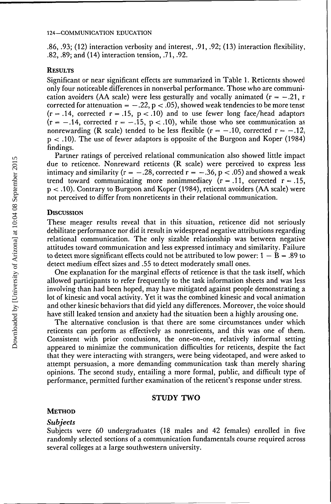.86, .93; **(12)** interaction verbosity and interest, .91, .92; (13) interaction flexibility, .82, .89; and (14) interaction tension, .71, .92.

## **RESULTS**

Significant or near significant effects are summarized in Table 1. Reticents showed only four noticeable differences in nonverbal performance. Those who are communication avoiders (AA scale) were less gesturally and vocally animated  $(r = -.21, r)$ corrected for attenuation =  $-.22$ , p < .05), showed weak tendencies to be more tense  $(r=.14,$  corrected  $r=.15, p < .10$ ) and to use fewer long face/head adaptors  $(r = -.14$ , corrected  $r = -.15$ ,  $p < .10$ ), while those who see communication as nonrewarding (R scale) tended to be less flexible ( $r = -.10$ , corrected  $r = -.12$ . p < .10). The use of fewer adaptors is opposite of the Burgoon and Koper (1984) findings.

Partner ratings of perceived relational communication also showed little impact due to reticence. Nonreward reticents (R scale) were perceived to express less intimacy and similarity ( $r = -.28$ , corrected  $r = -.36$ ,  $p < .05$ ) and showed a weak trend toward communicating more nonimmediacy  $(r = .11,$  corrected  $r = .15,$ p < .10). Contrary to Burgoon and Koper (1984), reticent avoiders (AA scale) were not perceived to differ from nonreticents in their relational communication.

# **DISCUSSION**

These meager results reveal that in this situation, reticence did not seriously debilitate performance nor did it result in widespread negative attributions regarding relational communication. The only sizable relationship was between negative attitudes toward communication and less expressed intimacy and similarity. Failure to detect more significant effects could not be attributed to low power:  $1 - B = .89$  to detect medium effect sizes and .55 to detect moderately small ones.

One explanation for the marginal effects of reticence is that the task itself, which allowed participants to refer frequently to the task information sheets and was less involving than had been hoped, may have mitigated against people demonstrating a lot of kinesic and vocal activity. Yet it was the combined kinesic and vocal animation and other kinesic behaviors that did yield any differences. Moreover, the voice should have still leaked tension and anxiety had the situation been a highly arousing one.

The alternative conclusion is that there are some circumstances under which reticents can perform as effectively as nonreticents, and this was one of them. Consistent with prior conclusions, the one-on-one, relatively informal setting appeared to minimize the communication difficulties for reticents, despite the fact that they were interacting with strangers, were being videotaped, and were asked to attempt persuasion, a more demanding communication task than merely sharing opinions. The second study, entailing a more formal, public, and difficult type of performance, permitted further examination of the reticent's response under stress.

## **STUDY TWO**

#### **METHOD**

#### *Subjects*

Subjects were 60 undergraduates (18 males and 42 females) enrolled in five randomly selected sections of a communication fundamentals course required across several colleges at a large southwestern university.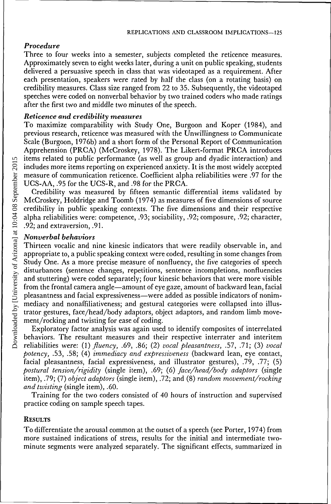# *Procedure*

Three to four weeks into a semester, subjects completed the reticence measures. Approximately seven to eight weeks later, during a unit on public speaking, students delivered a persuasive speech in class that was videotaped as a requirement. After each presentation, speakers were rated by half the class (on a rotating basis) on credibility measures. Class size ranged from 22 to 35. Subsequently, the videotaped speeches were coded on nonverbal behavior by two trained coders who made ratings after the first two and middle two minutes of the speech.

# *Reticence and credibility measures*

To maximize comparability with Study One, Burgoon and Koper (1984), and previous research, reticence was measured with the Unwillingness to Communicate Scale (Burgoon, 1976b) and a short form of the Personal Report of Communication Apprehension (PRCA) (McCroskey, 1978). The Likert-format PRCA introduces items related to public performance (as well as group and dyadic interaction) and includes more items reporting on experienced anxiety. It is the most widely accepted measure of communication reticence. Coefficient alpha reliabilities were .97 for the UCS-AA, .95 for the UCS-R, and .98 for the PRCA.

Credibility was measured by fifteen semantic differential items validated by McCroskey, Holdridge and Toomb (1974) as measures of five dimensions of source credibility in public speaking contexts. The five dimensions and their respective alpha reliabilities were: competence, .93; sociability, .92; composure, .92; character, .92; and extraversion, .91.

# *Nonverbal behaviors*

Thirteen vocalic and nine kinesic indicators that were readily observable in, and appropriate to, a public speaking context were coded, resulting in some changes from Study One. As a more precise measure of nonfluency, the five categories of speech disturbances (sentence changes, repetitions, sentence incompletions, nonfluencies and stuttering) were coded separately; four kinesic behaviors that were more visible from the frontal camera angle—amount of eye gaze, amount of backward lean, facial pleasantness and facial expressiveness—were added as possible indicators of nonimmediacy and nonaffiliativeness; and gestural categories were collapsed into illustrator gestures, face/head/body adaptors, object adaptors, and random limb movement/rocking and twisting for ease of coding.

Exploratory factor analysis was again used to identify composites of interrelated behaviors. The resultant measures and their respective interrater and interitem reliabilities were: *(I) fluency,* .69, .86; (2) *vocal pleasantness,* .57, .71; (3) *vocal potency,* .53, .58; (4) *immediacy and expressiveness* (backward lean, eye contact, facial pleasantness, facial expressiveness, and illustrator gestures), .79, .77; (5) *postural tension/rigidity* (single item), .69; (6) *face/head/body adaptors* (single item), .79; (7) *object adaptors* (single item), .72; and (8) *random movement/rocking and twisting* (single item), .60.

Training for the two coders consisted of 40 hours of instruction and supervised practice coding on sample speech tapes.

# RESULTS

To differentiate the arousal common at the outset of a speech (see Porter, 1974) from more sustained indications of stress, results for the initial and intermediate twominute segments were analyzed separately. The significant effects, summarized in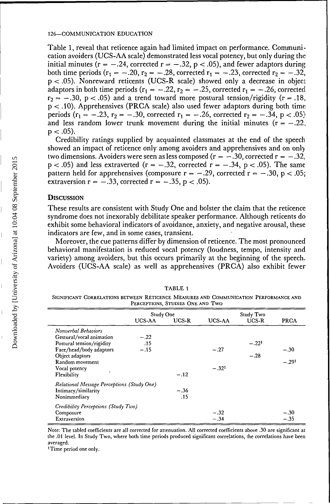Table 1, reveal that reticence again had limited impact on performance. Communication avoiders (UCS-AA scale) demonstrated less vocal potency, but only during the initial minutes ( $r = -.24$ , corrected  $r = -.32$ ,  $p < .05$ ), and fewer adaptors during both time periods ( $r_1 = -.20$ ,  $r_2 = -.28$ , corrected  $r_1 = -.23$ , corrected  $r_2 = -.32$ ,  $p < .05$ ). Nonreward reticents (UCS-R scale) showed only a decrease in object adaptors in both time periods  $(r_1 = -.22, r_2 = -.25,$  corrected  $r_1 = -.26$ , corrected  $r_2 = -.30$ ,  $p < .05$ ) and a trend toward more postural tension/rigidity (r = .18, p < .10). Apprehensives (PRCA scale) also used fewer adaptors during both time periods ( $r_1 = -.23$ ,  $r_2 = -.30$ , corrected  $r_1 = -.26$ , corrected  $r_2 = -.34$ ,  $p < .05$ ) and less random lower trunk movement during the initial minutes  $(r = -.22)$ ,  $p < .05$ ).

Credibility ratings supplied by acquainted classmates at the end of the speech showed an impact of reticence only among avoiders and apprehensives and on only two dimensions. Avoiders were seen as less composed ( $r = -.30$ , corrected  $r = -.32$ .  $p < .05$ ) and less extraverted ( $r = -.32$ , corrected  $r = -.34$ ,  $p < .05$ ). The same pattern held for apprehensives (composure  $r = -.29$ , corrected  $r = -.30$ ,  $p < .05$ ; extraversion  $r = -.33$ , corrected  $r = -.35$ ,  $p < .05$ ).

## **DISCUSSION**

 $\equiv$ 

These results are consistent with Study One and bolster the claim that the reticence syndrome does not inexorably debilitate speaker performance. Although reticents do exhibit some behavioral indicators of avoidance, anxiety, and negative arousal, these indicators are few, and in some cases, transient.

Moreover, the cue patterns differ by dimension of reticence. The most pronounced behavioral manifestation is reduced vocal potency (loudness, tempo, intensity and variety) among avoiders, but this occurs primarily at the beginning of the speech. Avoiders (UCS-AA scale) as well as apprehensives (PRCA) also exhibit fewer

| I LAULING, UTUDILO UNLIMID INC                                                                                        |           |        |               |         |         |
|-----------------------------------------------------------------------------------------------------------------------|-----------|--------|---------------|---------|---------|
|                                                                                                                       | Study One |        | Study Two     |         |         |
|                                                                                                                       | UCS-AA    | UCS-R  | <b>UCS-AA</b> | UCS-R   | PRCA    |
| Nonverbal Behaviors                                                                                                   |           |        |               |         |         |
| Gestural/vocal animation                                                                                              | $-.22$    |        |               |         |         |
| Postural tension/rigidity                                                                                             | .15       |        |               | $-.221$ |         |
| Face/head/body adaptors                                                                                               | $-.15$    |        | $-.27$        |         | $-.30$  |
| Object adaptors                                                                                                       |           |        |               | $-.28$  |         |
| Random movement                                                                                                       |           |        |               |         | $-.291$ |
| Vocal potency                                                                                                         |           |        | $-.321$       |         |         |
| Flexibility                                                                                                           |           | $-.12$ |               |         |         |
|                                                                                                                       |           |        |               |         |         |
|                                                                                                                       |           | $-.36$ |               |         |         |
| Nonimmediacy                                                                                                          |           | .15    |               |         |         |
|                                                                                                                       |           |        |               |         |         |
|                                                                                                                       |           |        | $-.32$        |         | $-.30$  |
| Extraversion                                                                                                          |           |        | $-.34$        |         | $-.35$  |
| Relational Message Perceptions (Study One)<br>Intimacy/similarity<br>Credibility Perceptions (Study Two)<br>Composure |           |        |               |         |         |

TABLE 1

SIGNIFICANT CORRELATIONS BETWEEN RETICENCE MEASURES AND COMMUNICATION PERFORMANCE AND PERCEPTIONS, STUDIES ONE AND TWO

Note: The tabled coefficients are all corrected for attenuation. All corrected coefficients above .30 are significant at the .01 level. In Study Two, where both time periods produced significant correlations, the correlations have been averaged.

'Time period one only.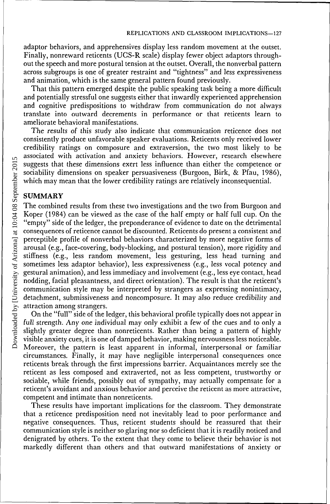adaptor behaviors, and apprehensives display less random movement at the outset. Finally, nonreward reticents (UCS-R scale) display fewer object adaptors throughout the speech and more postural tension at the outset. Overall, the nonverbal pattern across subgroups is one of greater restraint and "tightness" and less expressiveness and animation, which is the same general pattern found previously.

That this pattern emerged despite the public speaking task being a more difficult and potentially stressful one suggests either that inwardly experienced apprehension and cognitive predispositions to withdraw from communication do not always translate into outward decrements in performance or that reticents learn to ameliorate behavioral manifestations.

The results of this study also indicate that communication reticence does not consistently produce unfavorable speaker evaluations. Reticents only received lower credibility ratings on composure and extraversion, the two most likely to be associated with activation and anxiety behaviors. However, research elsewhere suggests that these dimensions exert less influence than either the competence or sociability dimensions on speaker persuasiveness (Burgoon, Birk, & Pfau, 1986), which may mean that the lower credibility ratings are relatively inconsequential.

## **SUMMARY**

The combined results from these two investigations and the two from Burgoon and Koper (1984) can be viewed as the case of the half empty or half full cup. On the "empty" side of the ledger, the preponderance of evidence to date on the detrimental consequences of reticence cannot be discounted. Reticents do present a consistent and perceptible profile of nonverbal behaviors characterized by more negative forms of arousal (e.g., face-covering, body-blocking, and postural tension), more rigidity and stiffness (e.g., less random movement, less gesturing, less head turning and sometimes less adaptor behavior), less expressiveness (e.g., less vocal potency and gestural animation), and less immediacy and involvement (e.g., less eye contact, head nodding, facial pleasantness, and direct orientation). The result is that the reticent's communication style may be interpreted by strangers as expressing nonintimacy, detachment, submissiveness and noncomposure. It may also reduce credibility and attraction among strangers.

On the "full" side of the ledger, this behavioral profile typically does not appear in full strength. Any one individual may only exhibit a few of the cues and to only a slightly greater degree than nonreticents. Rather than being a pattern of highly visible anxiety cues, it is one of damped behavior, making nervousness less noticeable. Moreover, the pattern is least apparent in informal, interpersonal or familiar circumstances. Finally, it may have negligible interpersonal consequences once reticents break through the first impressions barrier. Acquaintances merely see the reticent as less composed and extraverted, not as less competent, trustworthy or sociable, while friends, possibly out of sympathy, may actually compensate for a reticent's avoidant and anxious behavior and perceive the reticent as more attractive, competent and intimate than nonreticents.

These results have important implications for the classroom. They demonstrate that a reticence predisposition need not inevitably lead to poor performance and negative consequences. Thus, reticent students should be reassured that their communication style is neither so glaring nor so deficient that it is readily noticed and denigrated by others. To the extent that they come to believe their behavior is not markedly different than others and that outward manifestations of anxiety or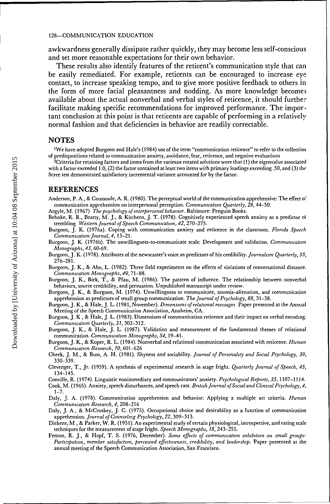awkwardness generally dissipate rather quickly, they may become less self-conscious and set more reasonable expectations for their own behavior.

These results also identify features of the reticent's communication style that can be easily remediated. For example, reticents can be encouraged to increase eye contact, to increase speaking tempo, and to give more positive feedback to others in the form of more facial pleasantness and nodding. As more knowledge becomes available about the actual nonverbal and verbal styles of reticence, it should further facilitate making specific recommendations for improved performance. The important conclusion at this point is that reticents are capable of performing in a relatively normal fashion and that deficiencies in behavior are readily correctable.

## NOTES

<sup>1</sup>We have adopted Burgoon and Hale's (1984) use of the term "communication reticence" to refer to the collection of predispositions related to communication anxiety, avoidance, fear, reticence, and negative evaluations.

<sup>2</sup>Criteria for retaining factors and items from the varimax rotated solutions were that (1) the eigenvalue associated with a factor exceeded 1.0, (2) the factor contained at least two items with primary loadings exceeding .50, and (3) the Scree test demonstrated satisfactory incremental variance accounted for by the factor.

### REFERENCES

- Anderson, P. A., & Coussoule, A. R. (1980). The perceptual world of the communication apprehensive: The effect of communication apprehension on interpersonal perception. *Communication Quarterly, 28,* 44-50.
- Argyle, M. (1967). *The psychology of interpersonal behavior.* Baltimore: Penguin Books.

Behnke, R. R., Beatty, M. J., & Kitchens, J. T. (1978). Cognitively experienced speech anxiety as a predictor oi' trembling. *Western Journal of Speech Communication, 42,* 270-275.

- Burgoon, J. K. (1976a). Coping with communication anxiety and reticence in the classroom. *Florida Speech Communication Journal, 4,* 13-21.
- Burgoon, J. K. (1976b). The unwillingness-to-communicate scale: Development and validation. *Communication Monographs, 43,* 60-69.
- Burgoon, J. K. (1978). Attributes of the newscaster's voice as predictors of his credibility. *Journalism Quarterly, 55,* 276-281.
- Burgoon, J. K., & Aho, L. (1982). Three field experiments on the effects of violations of conversational distance. *Communication Monographs, 49,* 71-88.
- Burgoon, J. K., Birk, T., & Pfau, M. (1986). The pattern of influence: The relationship between nonverbal behaviors, source credibility, and persuasion. Unpublished manuscript under review.
- Burgoon, J. K., & Burgoon, M. (1974). Unwillingness to communicate, anomia-alienation, and communication apprehension as predictors of small group communication. *The Journal of Psychology, 88,* 31-38.
- Burgoon, J. K., & Hale, J. L. (1981, November). *Dimensions of relational messages.* Paper presented at the Annual Meeting of the Speech Communication Association, Anaheim, CA.
- Burgoon, J. K., & Hale, J. L. (1983). Dimensions of communication reticence and their impact on verbal encoding. *Communication Quarterly, 31,* 302-312.
- Burgoon, J. K., & Hale, J. L. (1987). Validation and measurement of the fundamental themes of relational communication. *Communication Monographs, 54,* 19-41.
- Burgoon, J. K., & Koper, R. L. (1984). Nonverbal and relational communication associated with reticence. *Human Communication Research, 10,* 601-626.
- Cheek, J. M., & Buss, A. H. (1981). Shyness and sociability. *Journal of Personality and Social Psychology, 39,* 330-339.
- Clevenger, T., Jr. (1959). A synthesis of experimental research in stage fright. *Quarterly Journal of Speech, 45,* 134-145.
- Conville, R. (1974). Linguistic nonimmediacy and communicators' anxiety. *Psychological Reports, 35,* 1107-1114.
- Cook, M. (1965). Anxiety, speech disturbances, and speech rate. *British Journal of Social and Clinical Psychology, 4,* 1-7.
- Daly, J. A. (1978). Communication apprehension and behavior: Applying a multiple act criteria. *Human Communication Research, 4,* 208-216.
- Daly, J. A., & McCroskey, J. C. (1975). Occupational choice and desirability as a function of communication apprehension. *Journal of Counseling Psychology, 22,* 309-313.
- Dickens, M., & Parker, W. R. (1951). An experimental study of certain physiological, introspective, and rating scale techniques for the measurement of stage fright. *Speech Monographs, 18,* 243-255.
- Fenton, R. J., & Hopf, T. S. (1976, December). *Some effects of communication inhibition on small groups: Participation, member satisfaction, perceived effectiveness, credibility, and leadership.* Paper presented at the annual meeting of the Speech Communication Association, San Francisco.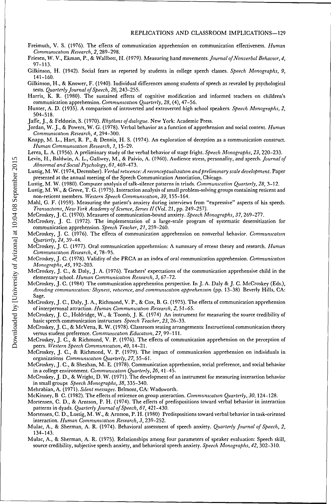- Freimuth, V. S. (1976). The effects of communication apprehension on communication effectiveness. *Human Communication Research, 2,* 289-298.
- Friesen, W. V., Ekman, P., & Wallbott, H. (1979). Measuring hand movements. *Journal of Nonverbal Behavior, 4,* 97-113.
- Gilkinson, H. (1942). Social fears as reported by students in college speech classes. *Speech Monographs, 9,* 141-160.
- Gilkinson, H., & Knower, F. (1940). Individual differences among students of speech as revealed by psychological tests. *Quarterly Journal of Speech, 26,* 243-255.
- Harris, K. R. (1980). The sustained effects of cognitive modification and informed teachers on children's communication apprehension. *Communication Quarterly, 28,* (4), 47-56.
- Hunter, A. D. (1935). A comparison of introverted and extroverted high school speakers. *Speech Monographs, 2,* 504-518.
- Jaffe, J., & Feldstein, S. (1970). *Rhythms of dialogue.* New York: Academic Press.
- Jordan, W. J., & Powers, W. G. (1978). Verbal behavior as a function of apprehension and social context. *Human Communication Research, 4,* 294-300.
- Knapp, M. L., Hart, R. P., & Dennis, H. S. (1974). An exploration of deception as a communication construct. *Human Communication Research, 1,* 15-29.
- Lerea, L. A. (1956). A preliminary study of the verbal behavior of stage fright. *Speech Monographs, 23,* 220-233.
- Levin, H., Baldwin, A. L., Gallwey, M., & Paivio, A. (1960). Audience stress, personality, and speech. *Journal of Abnormal and Social Psychology, 61,* 469-473.
- Lustig, M. W. (1974, December). *Verbal reticence: A reconceplualization and preliminary scale development.* Paper presented at the annual meeting of the Speech Communication Association, Chicago.
- Lustig, M. W. (1980). Computer analysis of talk-silence patterns in triads. *Communication Quarterly, 28,* 3-12.
- Lustig, M. W., & Grove, T. G. (1975). Interaction analysis of small problem-solving groups containing reticent and non-reticent members. *Western Speech Communication, 39,* 155-164.
- Mahl, G. F. (1959). Measuring the patient's anxiety during interviews from "expressive" aspects of his speech. *Transactions, New York Academy of Science, Series II* (Vol. 21, pp. 249-257).
- McCroskey, J. C. (1970). Measures of communication-bound anxiety. *Speech Monographs, 37,* 269-277.
- McCroskey, J. C. (1972). The implementation of a large-scale program of systematic desensitization for communication apprehension. *Speech Teacher, 21,* 259-260.
- McCroskey, J. C. (1976). The effects of communication apprehension on nonverbal behavior. *Communication Quarterly, 24,* 39-44.
- McCroskey, J. C. (1977). Oral communication apprehension: A summary of recent theory and research. *Human Communication Research, 4,* 78-95.
- McCroskey, J. C. (1978). Validity of the PRCA as an index of oral communication apprehension. *Communication Monographs, 45*, 192-203.
- McCroskey, J. C., & Daly, J. A. (1976). Teachers' expectations of the communication apprehensive child in the elementary school. *Human Communication Research, 3,* 67-72.
- McCroskey, J. C. (1984). The communication apprehension perspective. In J. A. Daly & J. C. McCroskey (Eds.), *Avoiding communication: Shyness, reticence, and communication apprehension* (pp. 13-38). Beverly Hills, CA: Sage.
- McCroskey, J. C., Daly, J. A., Richmond, V. P., & Cox, B. G. (1975). The effects of communication apprehension of interpersonal attraction. *Human Communication Research, 2,* 51-65.
- McCroskey, J. C., Holdridge, W., & Toomb, J. K. (1974). An instrument for measuring the source credibility of basic speech communication instructors. *Speech Teacher, 23,* 26-33.
- McCroskey, J. C., & McVetta, R. W. (1978). Classroom seating arrangements: Instructional communication theory versus student preference. *Communication Education, 27,* 99-111.
- McCroskey, J. C., & Richmond, V. P. (1976). The effects of communication apprehension on the perception of peers. *Western Speech Communication, 40,* 14-21.
- McCroskey, J. C, & Richmond, V. P. (1979). The impact of communication apprehension on individuals in organizations. *Communication Quarterly, 27,* 55-61.
- McCroskey, J. C., & Sheahan, M. E. (1978). Communication apprehension, social preference, and social behavior in a college environment. *Communication Quarterly, 26,* 41-45.
- McCroskey, J. D., & Wright, D. W. (1971). The development of an instrument for measuring interaction behavior in small groups. *Speech Monographs, 38,* 335-340.
- Mehrabian, A. (1971). *Silent messages.* Belmont, CA: Wadsworth.
- McKinney, B. C. (1982). The effects of reticence on group interaction. *Communication Quarterly, 30,* 124-128.
- Mortensen, C. D., & Arntson, P. H. (1974). The effects of predispositions toward verbal behavior in interaction patterns in dyads. *Quarterly Journal of Speech, 61,* 421-430.
- Mortensen, C. D., Lustig, M. W., & Arntson, P. H. (1980). Predispositions toward verbal behavior in task-oriented interaction. *Human Communication Research, 3,* 239-252.
- Mulac, A., & Sherman, A. R. (1974). Behavioral assessment of speech anxiety. *Quarterly Journal of Speech, 2,* 134-143.
- Mulac, A., & Sherman, A. R. (1975). Relationships among four parameters of speaker evaluation: Speech skill, source credibility, subjective speech anxiety, and behavioral speech anxiety. *Speech Monographs, 42,* 302-310.